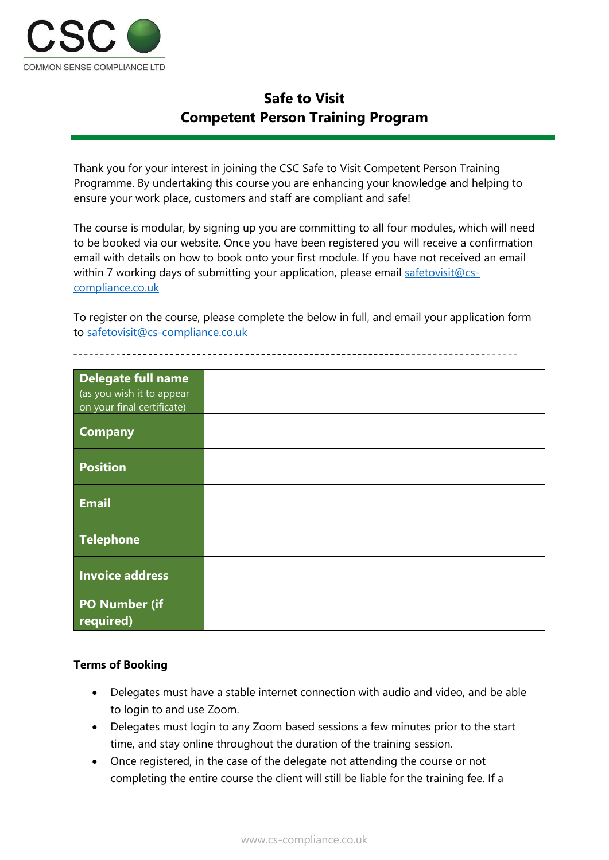

## **Safe to Visit Competent Person Training Program**

Thank you for your interest in joining the CSC Safe to Visit Competent Person Training Programme. By undertaking this course you are enhancing your knowledge and helping to ensure your work place, customers and staff are compliant and safe!

The course is modular, by signing up you are committing to all four modules, which will need to be booked via our website. Once you have been registered you will receive a confirmation email with details on how to book onto your first module. If you have not received an email within 7 working days of submitting your application, please email [safetovisit@cs](mailto:safetovisit@cs-compliance.co.uk)[compliance.co.uk](mailto:safetovisit@cs-compliance.co.uk)

To register on the course, please complete the below in full, and email your application form to [safetovisit@cs-compliance.co.uk](mailto:safetovisit@cs-compliance.co.uk)

| Delegate full name<br>(as you wish it to appear<br>on your final certificate) |  |
|-------------------------------------------------------------------------------|--|
| <b>Company</b>                                                                |  |
| <b>Position</b>                                                               |  |
| <b>Email</b>                                                                  |  |
| <b>Telephone</b>                                                              |  |
| <b>Invoice address</b>                                                        |  |
| <b>PO Number (if</b><br>required)                                             |  |

## **Terms of Booking**

- Delegates must have a stable internet connection with audio and video, and be able to login to and use Zoom.
- Delegates must login to any Zoom based sessions a few minutes prior to the start time, and stay online throughout the duration of the training session.
- Once registered, in the case of the delegate not attending the course or not completing the entire course the client will still be liable for the training fee. If a